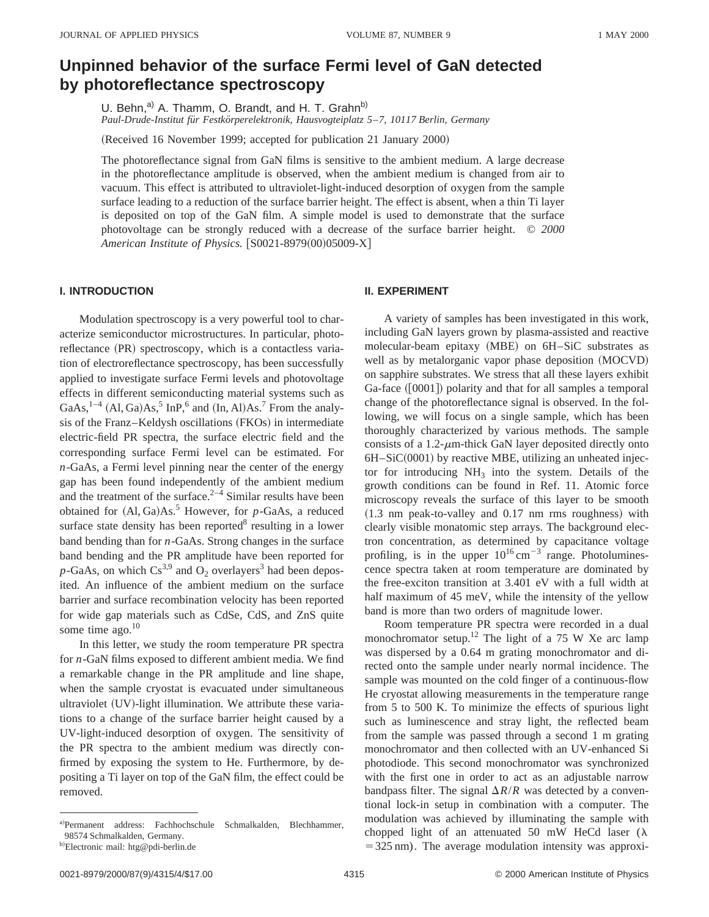# **Unpinned behavior of the surface Fermi level of GaN detected by photoreflectance spectroscopy**

U. Behn,<sup>a)</sup> A. Thamm, O. Brandt, and H. T. Grahn<sup>b)</sup> *Paul-Drude-Institut fu¨r Festko¨rperelektronik, Hausvogteiplatz 5*–*7, 10117 Berlin, Germany*

(Received 16 November 1999; accepted for publication 21 January 2000)

The photoreflectance signal from GaN films is sensitive to the ambient medium. A large decrease in the photoreflectance amplitude is observed, when the ambient medium is changed from air to vacuum. This effect is attributed to ultraviolet-light-induced desorption of oxygen from the sample surface leading to a reduction of the surface barrier height. The effect is absent, when a thin Ti layer is deposited on top of the GaN film. A simple model is used to demonstrate that the surface photovoltage can be strongly reduced with a decrease of the surface barrier height. © *2000 American Institute of Physics.*  $|S0021-8979(00)05009-X|$ 

## **I. INTRODUCTION**

Modulation spectroscopy is a very powerful tool to characterize semiconductor microstructures. In particular, photoreflectance (PR) spectroscopy, which is a contactless variation of electroreflectance spectroscopy, has been successfully applied to investigate surface Fermi levels and photovoltage effects in different semiconducting material systems such as GaAs,  $^{1-4}$  (Al, Ga)As,<sup>5</sup> InP,<sup>6</sup> and (In, Al)As.<sup>7</sup> From the analysis of the Franz–Keldysh oscillations (FKOs) in intermediate electric-field PR spectra, the surface electric field and the corresponding surface Fermi level can be estimated. For *n*-GaAs, a Fermi level pinning near the center of the energy gap has been found independently of the ambient medium and the treatment of the surface. $2^{-4}$  Similar results have been obtained for  $(Al, Ga)As.<sup>5</sup>$  However, for *p*-GaAs, a reduced surface state density has been reported $\delta$  resulting in a lower band bending than for *n*-GaAs. Strong changes in the surface band bending and the PR amplitude have been reported for  $p$ -GaAs, on which Cs<sup>3,9</sup> and O<sub>2</sub> overlayers<sup>3</sup> had been deposited. An influence of the ambient medium on the surface barrier and surface recombination velocity has been reported for wide gap materials such as CdSe, CdS, and ZnS quite some time ago.<sup>10</sup>

In this letter, we study the room temperature PR spectra for *n*-GaN films exposed to different ambient media. We find a remarkable change in the PR amplitude and line shape, when the sample cryostat is evacuated under simultaneous ultraviolet  $(UV)$ -light illumination. We attribute these variations to a change of the surface barrier height caused by a UV-light-induced desorption of oxygen. The sensitivity of the PR spectra to the ambient medium was directly confirmed by exposing the system to He. Furthermore, by depositing a Ti layer on top of the GaN film, the effect could be removed.

### **II. EXPERIMENT**

A variety of samples has been investigated in this work, including GaN layers grown by plasma-assisted and reactive molecular-beam epitaxy (MBE) on 6H–SiC substrates as well as by metalorganic vapor phase deposition (MOCVD) on sapphire substrates. We stress that all these layers exhibit  $Ga$ -face  $([0001])$  polarity and that for all samples a temporal change of the photoreflectance signal is observed. In the following, we will focus on a single sample, which has been thoroughly characterized by various methods. The sample consists of a 1.2- $\mu$ m-thick GaN layer deposited directly onto  $6H-SiC(0001)$  by reactive MBE, utilizing an unheated injector for introducing  $NH<sub>3</sub>$  into the system. Details of the growth conditions can be found in Ref. 11. Atomic force microscopy reveals the surface of this layer to be smooth  $(1.3 \text{ nm peak-to-value}$  and  $0.17 \text{ nm}$  rms roughness) with clearly visible monatomic step arrays. The background electron concentration, as determined by capacitance voltage profiling, is in the upper  $10^{16}$  cm<sup>-3</sup> range. Photoluminescence spectra taken at room temperature are dominated by the free-exciton transition at 3.401 eV with a full width at half maximum of 45 meV, while the intensity of the yellow band is more than two orders of magnitude lower.

Room temperature PR spectra were recorded in a dual monochromator setup.<sup>12</sup> The light of a 75 W Xe arc lamp was dispersed by a 0.64 m grating monochromator and directed onto the sample under nearly normal incidence. The sample was mounted on the cold finger of a continuous-flow He cryostat allowing measurements in the temperature range from 5 to 500 K. To minimize the effects of spurious light such as luminescence and stray light, the reflected beam from the sample was passed through a second 1 m grating monochromator and then collected with an UV-enhanced Si photodiode. This second monochromator was synchronized with the first one in order to act as an adjustable narrow bandpass filter. The signal  $\Delta R/R$  was detected by a conventional lock-in setup in combination with a computer. The modulation was achieved by illuminating the sample with chopped light of an attenuated 50 mW HeCd laser ( $\lambda$  $=$  325 nm). The average modulation intensity was approxi-

a! Permanent address: Fachhochschule Schmalkalden, Blechhammer, 98574 Schmalkalden, Germany.

<sup>&</sup>lt;sup>b)</sup>Electronic mail: htg@pdi-berlin.de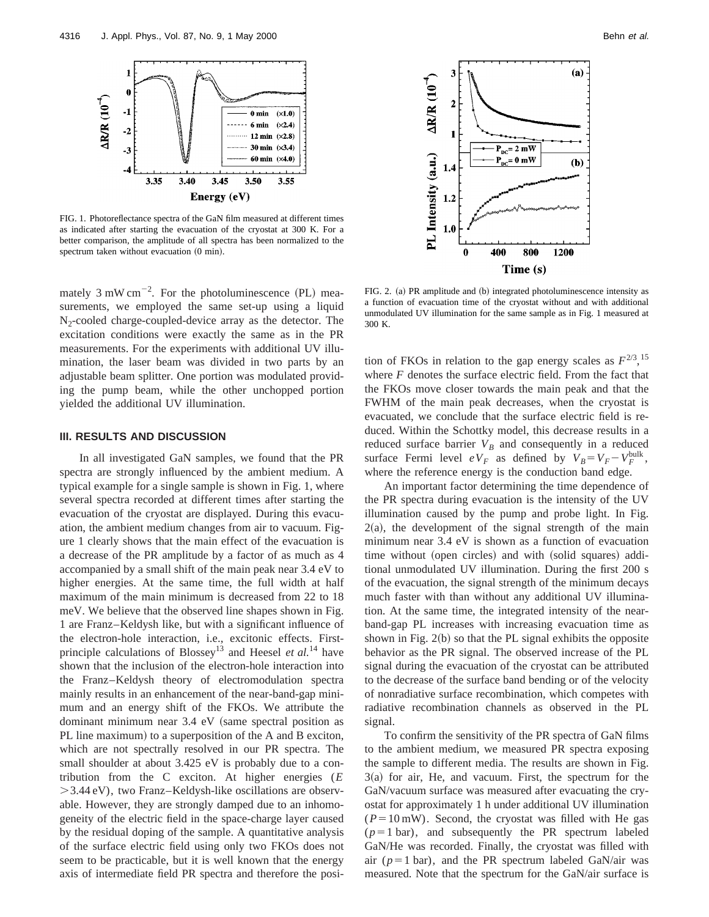

FIG. 1. Photoreflectance spectra of the GaN film measured at different times as indicated after starting the evacuation of the cryostat at 300 K. For a better comparison, the amplitude of all spectra has been normalized to the spectrum taken without evacuation  $(0 \text{ min})$ .

mately  $3 \text{ mW cm}^{-2}$ . For the photoluminescence (PL) measurements, we employed the same set-up using a liquid  $N<sub>2</sub>$ -cooled charge-coupled-device array as the detector. The excitation conditions were exactly the same as in the PR measurements. For the experiments with additional UV illumination, the laser beam was divided in two parts by an adjustable beam splitter. One portion was modulated providing the pump beam, while the other unchopped portion yielded the additional UV illumination.

#### **III. RESULTS AND DISCUSSION**

In all investigated GaN samples, we found that the PR spectra are strongly influenced by the ambient medium. A typical example for a single sample is shown in Fig. 1, where several spectra recorded at different times after starting the evacuation of the cryostat are displayed. During this evacuation, the ambient medium changes from air to vacuum. Figure 1 clearly shows that the main effect of the evacuation is a decrease of the PR amplitude by a factor of as much as 4 accompanied by a small shift of the main peak near 3.4 eV to higher energies. At the same time, the full width at half maximum of the main minimum is decreased from 22 to 18 meV. We believe that the observed line shapes shown in Fig. 1 are Franz–Keldysh like, but with a significant influence of the electron-hole interaction, i.e., excitonic effects. Firstprinciple calculations of Blossey13 and Heesel *et al.*<sup>14</sup> have shown that the inclusion of the electron-hole interaction into the Franz–Keldysh theory of electromodulation spectra mainly results in an enhancement of the near-band-gap minimum and an energy shift of the FKOs. We attribute the dominant minimum near  $3.4$  eV (same spectral position as PL line maximum) to a superposition of the A and B exciton, which are not spectrally resolved in our PR spectra. The small shoulder at about 3.425 eV is probably due to a contribution from the C exciton. At higher energies (*E*  $>$ 3.44 eV), two Franz–Keldysh-like oscillations are observable. However, they are strongly damped due to an inhomogeneity of the electric field in the space-charge layer caused by the residual doping of the sample. A quantitative analysis of the surface electric field using only two FKOs does not seem to be practicable, but it is well known that the energy axis of intermediate field PR spectra and therefore the posi-



FIG. 2. (a) PR amplitude and (b) integrated photoluminescence intensity as a function of evacuation time of the cryostat without and with additional unmodulated UV illumination for the same sample as in Fig. 1 measured at 300 K.

tion of FKOs in relation to the gap energy scales as  $F^{2/3}$ , <sup>15</sup> where *F* denotes the surface electric field. From the fact that the FKOs move closer towards the main peak and that the FWHM of the main peak decreases, when the cryostat is evacuated, we conclude that the surface electric field is reduced. Within the Schottky model, this decrease results in a reduced surface barrier  $V_B$  and consequently in a reduced surface Fermi level  $eV_F$  as defined by  $V_B = V_F - V_F^{\text{bulk}}$ , where the reference energy is the conduction band edge.

An important factor determining the time dependence of the PR spectra during evacuation is the intensity of the UV illumination caused by the pump and probe light. In Fig.  $2(a)$ , the development of the signal strength of the main minimum near 3.4 eV is shown as a function of evacuation time without (open circles) and with (solid squares) additional unmodulated UV illumination. During the first 200 s of the evacuation, the signal strength of the minimum decays much faster with than without any additional UV illumination. At the same time, the integrated intensity of the nearband-gap PL increases with increasing evacuation time as shown in Fig.  $2(b)$  so that the PL signal exhibits the opposite behavior as the PR signal. The observed increase of the PL signal during the evacuation of the cryostat can be attributed to the decrease of the surface band bending or of the velocity of nonradiative surface recombination, which competes with radiative recombination channels as observed in the PL signal.

To confirm the sensitivity of the PR spectra of GaN films to the ambient medium, we measured PR spectra exposing the sample to different media. The results are shown in Fig.  $3(a)$  for air, He, and vacuum. First, the spectrum for the GaN/vacuum surface was measured after evacuating the cryostat for approximately 1 h under additional UV illumination  $(P=10 \text{ mW})$ . Second, the cryostat was filled with He gas  $(p=1 \text{ bar})$ , and subsequently the PR spectrum labeled GaN/He was recorded. Finally, the cryostat was filled with air  $(p=1 \text{ bar})$ , and the PR spectrum labeled GaN/air was measured. Note that the spectrum for the GaN/air surface is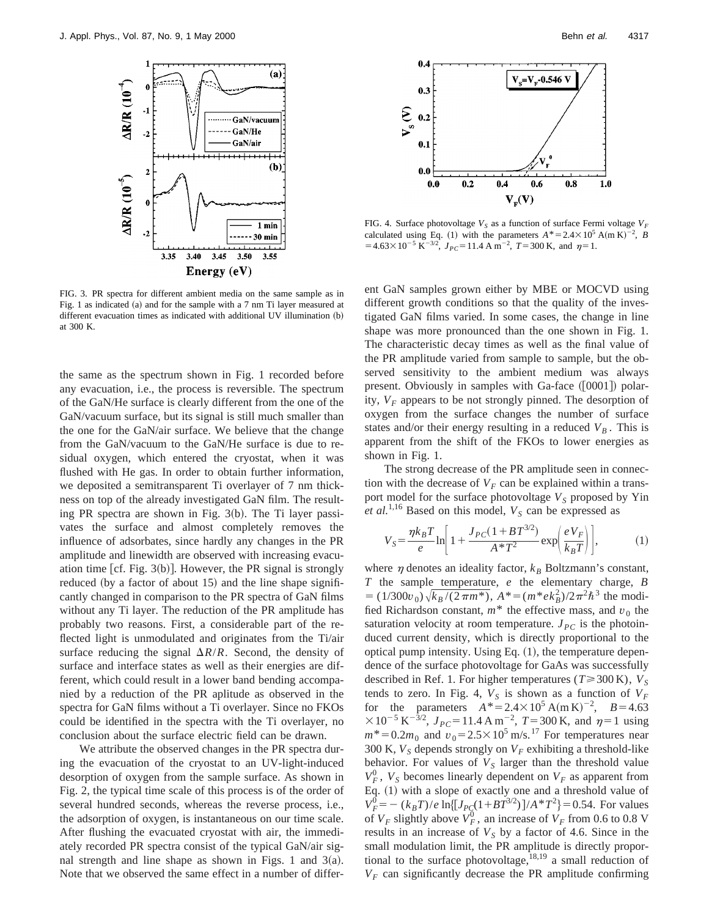

FIG. 3. PR spectra for different ambient media on the same sample as in Fig. 1 as indicated  $(a)$  and for the sample with a 7 nm Ti layer measured at different evacuation times as indicated with additional UV illumination (b) at 300 K.

the same as the spectrum shown in Fig. 1 recorded before any evacuation, i.e., the process is reversible. The spectrum of the GaN/He surface is clearly different from the one of the GaN/vacuum surface, but its signal is still much smaller than the one for the GaN/air surface. We believe that the change from the GaN/vacuum to the GaN/He surface is due to residual oxygen, which entered the cryostat, when it was flushed with He gas. In order to obtain further information, we deposited a semitransparent Ti overlayer of 7 nm thickness on top of the already investigated GaN film. The resulting PR spectra are shown in Fig.  $3(b)$ . The Ti layer passivates the surface and almost completely removes the influence of adsorbates, since hardly any changes in the PR amplitude and linewidth are observed with increasing evacuation time [cf. Fig.  $3(b)$ ]. However, the PR signal is strongly reduced (by a factor of about 15) and the line shape significantly changed in comparison to the PR spectra of GaN films without any Ti layer. The reduction of the PR amplitude has probably two reasons. First, a considerable part of the reflected light is unmodulated and originates from the Ti/air surface reducing the signal  $\Delta R/R$ . Second, the density of surface and interface states as well as their energies are different, which could result in a lower band bending accompanied by a reduction of the PR aplitude as observed in the spectra for GaN films without a Ti overlayer. Since no FKOs could be identified in the spectra with the Ti overlayer, no conclusion about the surface electric field can be drawn.

We attribute the observed changes in the PR spectra during the evacuation of the cryostat to an UV-light-induced desorption of oxygen from the sample surface. As shown in Fig. 2, the typical time scale of this process is of the order of several hundred seconds, whereas the reverse process, i.e., the adsorption of oxygen, is instantaneous on our time scale. After flushing the evacuated cryostat with air, the immediately recorded PR spectra consist of the typical GaN/air signal strength and line shape as shown in Figs. 1 and  $3(a)$ . Note that we observed the same effect in a number of differ-



FIG. 4. Surface photovoltage  $V_S$  as a function of surface Fermi voltage  $V_F$ calculated using Eq. (1) with the parameters  $A^* = 2.4 \times 10^5$  A(m K)<sup>-2</sup>, *B*  $=4.63\times10^{-5} \text{ K}^{-3/2}$ ,  $J_{PC} = 11.4 \text{ A m}^{-2}$ ,  $T = 300 \text{ K}$ , and  $\eta = 1$ .

ent GaN samples grown either by MBE or MOCVD using different growth conditions so that the quality of the investigated GaN films varied. In some cases, the change in line shape was more pronounced than the one shown in Fig. 1. The characteristic decay times as well as the final value of the PR amplitude varied from sample to sample, but the observed sensitivity to the ambient medium was always present. Obviously in samples with Ga-face  $([0001])$  polarity,  $V_F$  appears to be not strongly pinned. The desorption of oxygen from the surface changes the number of surface states and/or their energy resulting in a reduced  $V_B$ . This is apparent from the shift of the FKOs to lower energies as shown in Fig. 1.

The strong decrease of the PR amplitude seen in connection with the decrease of  $V_F$  can be explained within a transport model for the surface photovoltage  $V_S$  proposed by Yin *et al.*<sup>1,16</sup> Based on this model,  $V_S$  can be expressed as

$$
V_S = \frac{\eta k_B T}{e} \ln \left[ 1 + \frac{J_{PC}(1 + BT^{3/2})}{A^* T^2} \exp\left(\frac{eV_F}{k_B T}\right) \right],\tag{1}
$$

where  $\eta$  denotes an ideality factor,  $k_B$  Boltzmann's constant, *T* the sample temperature, *e* the elementary charge, *B*  $= (1/300v_0)\sqrt{k_B/(2\pi m^*)}, A^* = (m^* e k_B^2)/2\pi^2\hbar^3$  the modified Richardson constant,  $m^*$  the effective mass, and  $v_0$  the saturation velocity at room temperature.  $J_{PC}$  is the photoinduced current density, which is directly proportional to the optical pump intensity. Using Eq.  $(1)$ , the temperature dependence of the surface photovoltage for GaAs was successfully described in Ref. 1. For higher temperatures ( $T \ge 300$  K),  $V_S$ tends to zero. In Fig. 4,  $V_S$  is shown as a function of  $V_F$ for the parameters  $A^* = 2.4 \times 10^5 \text{ A} (\text{m K})^{-2}$ ,  $B = 4.63$  $\times 10^{-5}$  K<sup>-3/2</sup>,  $J_{PC}$ =11.4 A m<sup>-2</sup>, T=300 K, and  $\eta$ =1 using  $m^* = 0.2m_0$  and  $v_0 = 2.5 \times 10^5$  m/s.<sup>17</sup> For temperatures near 300 K,  $V_S$  depends strongly on  $V_F$  exhibiting a threshold-like behavior. For values of  $V<sub>S</sub>$  larger than the threshold value  $V_F^0$ ,  $V_S$  becomes linearly dependent on  $V_F$  as apparent from Eq. (1) with a slope of exactly one and a threshold value of  $V_F^0 = -(k_B T)/e \ln\left[\frac{J_{PC}(1 + BT^{3/2})}{A*T^2}\right] = 0.54$ . For values of  $V_F$  slightly above  $V_F^0$ , an increase of  $V_F$  from 0.6 to 0.8 V results in an increase of  $V<sub>S</sub>$  by a factor of 4.6. Since in the small modulation limit, the PR amplitude is directly proportional to the surface photovoltage, $^{18,19}$  a small reduction of  $V_F$  can significantly decrease the PR amplitude confirming